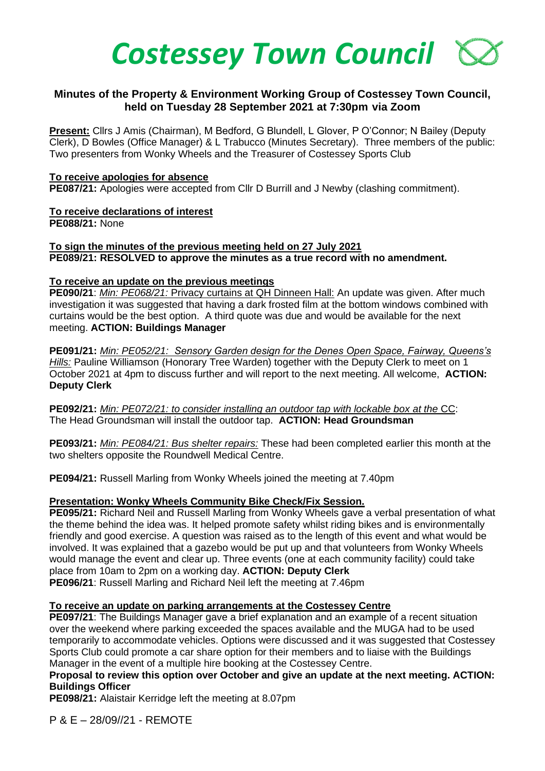

## **Minutes of the Property & Environment Working Group of Costessey Town Council, held on Tuesday 28 September 2021 at 7:30pm via Zoom**

**Present:** Cllrs J Amis (Chairman), M Bedford, G Blundell, L Glover, P O'Connor; N Bailey (Deputy Clerk), D Bowles (Office Manager) & L Trabucco (Minutes Secretary). Three members of the public: Two presenters from Wonky Wheels and the Treasurer of Costessey Sports Club

#### **To receive apologies for absence**

**PE087/21:** Apologies were accepted from Cllr D Burrill and J Newby (clashing commitment).

# **To receive declarations of interest**

**PE088/21:** None

## **To sign the minutes of the previous meeting held on 27 July 2021 PE089/21: RESOLVED to approve the minutes as a true record with no amendment.**

#### **To receive an update on the previous meetings**

**PE090/21**: *Min: PE068/21:* Privacy curtains at QH Dinneen Hall: An update was given. After much investigation it was suggested that having a dark frosted film at the bottom windows combined with curtains would be the best option. A third quote was due and would be available for the next meeting. **ACTION: Buildings Manager**

**PE091/21:** *Min: PE052/21: Sensory Garden design for the Denes Open Space, Fairway, Queens's Hills:* Pauline Williamson (Honorary Tree Warden) together with the Deputy Clerk to meet on 1 October 2021 at 4pm to discuss further and will report to the next meeting. All welcome, **ACTION: Deputy Clerk**

**PE092/21:** *Min: PE072/21: to consider installing an outdoor tap with lockable box at the* CC: The Head Groundsman will install the outdoor tap. **ACTION: Head Groundsman**

**PE093/21:** *Min: PE084/21: Bus shelter repairs:* These had been completed earlier this month at the two shelters opposite the Roundwell Medical Centre.

**PE094/21:** Russell Marling from Wonky Wheels joined the meeting at 7.40pm

## **Presentation: Wonky Wheels Community Bike Check/Fix Session.**

**PE095/21:** Richard Neil and Russell Marling from Wonky Wheels gave a verbal presentation of what the theme behind the idea was. It helped promote safety whilst riding bikes and is environmentally friendly and good exercise. A question was raised as to the length of this event and what would be involved. It was explained that a gazebo would be put up and that volunteers from Wonky Wheels would manage the event and clear up. Three events (one at each community facility) could take place from 10am to 2pm on a working day. **ACTION: Deputy Clerk PE096/21**: Russell Marling and Richard Neil left the meeting at 7.46pm

## **To receive an update on parking arrangements at the Costessey Centre**

**PE097/21**: The Buildings Manager gave a brief explanation and an example of a recent situation over the weekend where parking exceeded the spaces available and the MUGA had to be used temporarily to accommodate vehicles. Options were discussed and it was suggested that Costessey Sports Club could promote a car share option for their members and to liaise with the Buildings Manager in the event of a multiple hire booking at the Costessey Centre.

#### **Proposal to review this option over October and give an update at the next meeting. ACTION: Buildings Officer**

**PE098/21:** Alaistair Kerridge left the meeting at 8.07pm

P & E – 28/09//21 - REMOTE